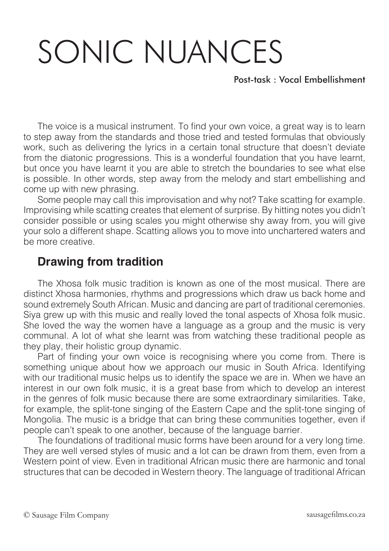## SONIC NUANCES

Post-task : Vocal Embellishment

The voice is a musical instrument. To find your own voice, a great way is to learn to step away from the standards and those tried and tested formulas that obviously work, such as delivering the lyrics in a certain tonal structure that doesn't deviate from the diatonic progressions. This is a wonderful foundation that you have learnt, but once you have learnt it you are able to stretch the boundaries to see what else is possible. In other words, step away from the melody and start embellishing and come up with new phrasing.

Some people may call this improvisation and why not? Take scatting for example. Improvising while scatting creates that element of surprise. By hitting notes you didn't consider possible or using scales you might otherwise shy away from, you will give your solo a different shape. Scatting allows you to move into unchartered waters and be more creative.

## **Drawing from tradition**

The Xhosa folk music tradition is known as one of the most musical. There are distinct Xhosa harmonies, rhythms and progressions which draw us back home and sound extremely South African. Music and dancing are part of traditional ceremonies. Siya grew up with this music and really loved the tonal aspects of Xhosa folk music. She loved the way the women have a language as a group and the music is very communal. A lot of what she learnt was from watching these traditional people as they play, their holistic group dynamic.

Part of finding your own voice is recognising where you come from. There is something unique about how we approach our music in South Africa. Identifying with our traditional music helps us to identify the space we are in. When we have an interest in our own folk music, it is a great base from which to develop an interest in the genres of folk music because there are some extraordinary similarities. Take, for example, the split-tone singing of the Eastern Cape and the split-tone singing of Mongolia. The music is a bridge that can bring these communities together, even if people can't speak to one another, because of the language barrier.

The foundations of traditional music forms have been around for a very long time. They are well versed styles of music and a lot can be drawn from them, even from a Western point of view. Even in traditional African music there are harmonic and tonal structures that can be decoded in Western theory. The language of traditional African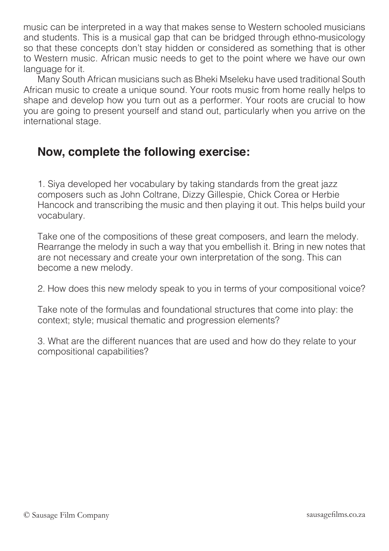music can be interpreted in a way that makes sense to Western schooled musicians and students. This is a musical gap that can be bridged through ethno-musicology so that these concepts don't stay hidden or considered as something that is other to Western music. African music needs to get to the point where we have our own language for it.

Many South African musicians such as Bheki Mseleku have used traditional South African music to create a unique sound. Your roots music from home really helps to shape and develop how you turn out as a performer. Your roots are crucial to how you are going to present yourself and stand out, particularly when you arrive on the international stage.

## **Now, complete the following exercise:**

1. Siya developed her vocabulary by taking standards from the great jazz composers such as John Coltrane, Dizzy Gillespie, Chick Corea or Herbie Hancock and transcribing the music and then playing it out. This helps build your vocabulary.

Take one of the compositions of these great composers, and learn the melody. Rearrange the melody in such a way that you embellish it. Bring in new notes that are not necessary and create your own interpretation of the song. This can become a new melody.

2. How does this new melody speak to you in terms of your compositional voice?

Take note of the formulas and foundational structures that come into play: the context; style; musical thematic and progression elements?

3. What are the different nuances that are used and how do they relate to your compositional capabilities?